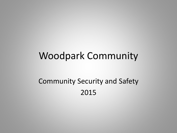## Woodpark Community

## Community Security and Safety 2015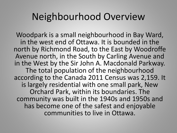## Neighbourhood Overview

Woodpark is a small neighbourhood in Bay Ward, in the west end of Ottawa. It is bounded in the north by Richmond Road, to the East by Woodroffe Avenue north, in the South by Carling Avenue and in the West by the Sir John A. Macdonald Parkway. The total population of the neighbourhood according to the Canada 2011 Census was 2,159. It is largely residential with one small park, New Orchard Park, within its boundaries. The community was built in the 1940s and 1950s and has become one of the safest and enjoyable communities to live in Ottawa.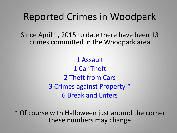## Reported Crimes in Woodpark

Since April 1, 2015 to date there have been 13 crimes committed in the Woodpark area

> 1 Assault 1 Car Theft 2 Theft from Cars 3 Crimes against Property \* 6 Break and Enters

\* Of course with Halloween just around the corner these numbers may change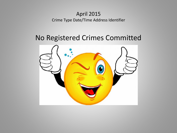#### April 2015 Crime Type Date/Time Address Identifier

## No Registered Crimes Committed

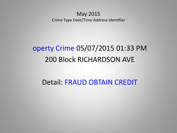#### May 2015 Crime Type Date/Time Address Identifier

# operty Crime 05/07/2015 01:33 PM 200 Block RICHARDSON AVE Detail: FRAUD OBTAIN CREDIT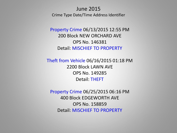#### June 2015 Crime Type Date/Time Address Identifier

Property Crime 06/13/2015 12:55 PM 200 Block NEW ORCHARD AVE OPS No. 146381 Detail: MISCHIEF TO PROPERTY

Theft from Vehicle 06/16/2015 01:18 PM 2200 Block LAWN AVE OPS No. 149285 Detail: THEFT

Property Crime 06/25/2015 06:16 PM 400 Block EDGEWORTH AVE OPS No. 158859 Detail: MISCHIEF TO PROPERTY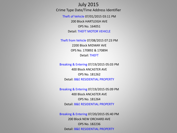#### July 2015

Crime Type Date/Time Address Identifier

Theft of Vehicle 07/01/2015 03:11 PM 200 Block HARTLEIGH AVE OPS No. 164051 Detail: THEFT MOTOR VEHICLE

Theft from Vehicle 07/08/2015 07:23 PM 2200 Block MIDWAY AVE OPS No. 170892 & 170894 Detail: THEFT

Breaking & Entering 07/19/2015 05:03 PM 400 Block ANCASTER AVE OPS No. 181262 Detail: B&E RESIDENTIAL PROPERTY

Breaking & Entering 07/19/2015 05:09 PM 400 Block ANCASTER AVE OPS No. 181264 Detail: B&E RESIDENTIAL PROPERTY

Breaking & Entering 07/20/2015 05:40 PM 200 Block NEW ORCHARD AVE OPS No. 182236 Detail: B&E RESIDENTIAL PROPERTY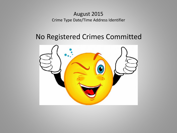#### August 2015 Crime Type Date/Time Address Identifier

## No Registered Crimes Committed

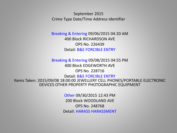September 2015 Crime Type Date/Time Address Identifier

Breaking & Entering 09/06/2015 04:20 AM 400 Block RICHARDSON AVE OPS No. 226439 Detail: B&E FORCIBLE ENTRY

Breaking & Entering 09/08/2015 04:55 PM 400 Block EDGEWORTH AVE OPS No. 228716

Detail: B&E FORCIBLE ENTRY Items Taken: 2015/09/08 18:00:00 JEWELLERY CELL PHONES/PORTABLE ELECTRONIC DEVICES OTHER PROPERTY PHOTOGRAPHIC EQUIPMENT

> Other 09/30/2015 12:43 PM 200 Block WOODLAND AVE OPS No. 248768 Detail: HARASS HARASSMENT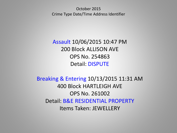October 2015 Crime Type Date/Time Address Identifier

Assault 10/06/2015 10:47 PM 200 Block ALLISON AVE OPS No. 254863 Detail: DISPUTE

Breaking & Entering 10/13/2015 11:31 AM 400 Block HARTLEIGH AVE OPS No. 261002 Detail: B&E RESIDENTIAL PROPERTY Items Taken: JEWELLERY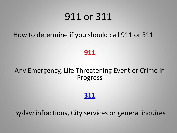## 911 or 311

How to determine if you should call 911 or 311

### **911**

### Any Emergency, Life Threatening Event or Crime in Progress

### **311**

By-law infractions, City services or general inquires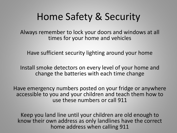## Home Safety & Security

Always remember to lock your doors and windows at all times for your home and vehicles

Have sufficient security lighting around your home

Install smoke detectors on every level of your home and change the batteries with each time change

Have emergency numbers posted on your fridge or anywhere accessible to you and your children and teach them how to use these numbers or call 911

Keep you land line until your children are old enough to know their own address as only landlines have the correct home address when calling 911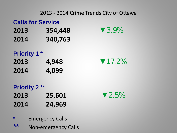#### **Calls for Service**

- **2013 354,448** ▼3.9%
- **2014 340,763**

### **Priority 1 \***

**2013 4,948** ▼17.2% **2014 4,099**

## **Priority 2 \*\* 2013 25,601** ▼2.5% **2014 24,969**

**\*** Emergency Calls **\*\*** Non-emergency Calls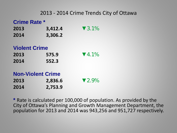#### **Crime Rate \***

- **2013 3,412.4** ▼ 3.1% **2014 3,306.2**
- **Violent Crime**
- **2013** 575.9  $\sqrt{4.1\%}$
- **2014 552.3**

#### **Non-Violent Crime**

| 2013 | 2,836.6 | $\blacktriangledown$ 2.9% |
|------|---------|---------------------------|
| 2014 | 2,753.9 |                           |

**\*** Rate is calculated per 100,000 of population. As provided by the City of Ottawa's Planning and Growth Management Department, the population for 2013 and 2014 was 943,256 and 951,727 respectively.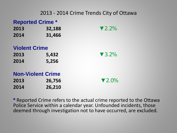#### **Reported Crime \***

| 2013 | 32,188 |
|------|--------|
| 2014 | 31,466 |

#### **Violent Crime**

| 2013 | 5,432 |
|------|-------|
| 2014 | 5,256 |

**Non-Violent Crime**

**2014 26,210**

**2013 26,756** ▼2.0%

▼2.2%

▼3.2%

**\*** Reported Crime refers to the actual crime reported to the Ottawa Police Service within a calendar year. Unfounded incidents, those deemed through investigation not to have occurred, are excluded.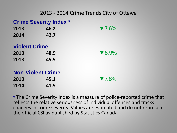#### **Crime Severity Index \***

| 2013 | 46.2 | $\blacktriangledown$ 7.6% |
|------|------|---------------------------|
| 2014 | 42.7 |                           |

#### **Violent Crime**

| 2013 | 48.9 |
|------|------|
| 2013 | 45.5 |

### **Non-Violent Crime**

**2013 45.1** ▼7.8% **2014 41.5**

**2013 48.9** ▼6.9%

**\*** The Crime Severity Index is a measure of police-reported crime that reflects the relative seriousness of individual offences and tracks changes in crime severity. Values are estimated and do not represent the official CSI as published by Statistics Canada.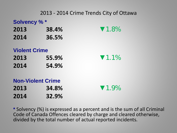| Solvency %* |        |                           |
|-------------|--------|---------------------------|
| 2013        | 38.4%  | $\blacktriangledown$ 1.8% |
| <b>AA44</b> | 82 PAI |                           |

**2014 36.5%**

|  | <b>Violent Crime</b> |  |
|--|----------------------|--|
|  |                      |  |

- **2013 55.9%** ▼1.1%
- **2014 54.9%**

**Non-Violent Crime 2013 34.8%** ▼1.9% **2014 32.9%**

**\*** Solvency (%) is expressed as a percent and is the sum of all Criminal Code of Canada Offences cleared by charge and cleared otherwise, divided by the total number of actual reported incidents.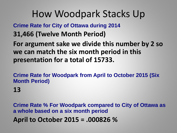## How Woodpark Stacks Up

**Crime Rate for City of Ottawa during 2014**

**31,466 (Twelve Month Period)**

**For argument sake we divide this number by 2 so we can match the six month period in this presentation for a total of 15733.**

**Crime Rate for Woodpark from April to October 2015 (Six Month Period)**

**13**

**Crime Rate % For Woodpark compared to City of Ottawa as a whole based on a six month period April to October 2015 = .000826 %**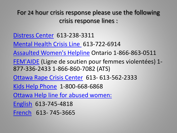For 24 hour crisis response please use the following crisis response lines :

- [Distress Center](http://www.dcottawa.on.ca/) 613-238-3311
- [Mental Health Crisis Line](http://www.crisisline.ca/) 613-722-6914
- [Assaulted Women's Helpline](http://www.awhl.org/) Ontario 1-866-863-0511
- [FEM'AIDE](http://www.femaide.ca/index.cfm?Voir=menu&Repertoire_No=2137989335&M=3130) (Ligne de soutien pour femmes violentées) 1- 877-336-2433 1-866-860-7082 (ATS)
- [Ottawa Rape Crisis Center](http://www.orcc.net/) 613- 613-562-2333
- [Kids Help Phone](http://org.kidshelpphone.ca/en/choose/ontario/ottawa) 1-800-668-6868
- [Ottawa Help line for abused women:](http://www.orcc.net/)
- [English](http://www.orcc.net/) 613-745-4818
- [French](http://www.orcc.net/) 613- 745-3665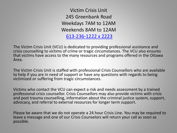Victim Crisis Unit 245 Greenbank Road Weekdays 7AM to 12AM Weekends 8AM to 12AM [613-236-1222 x 2223](tel:613-236-1222 x 2223)

The Victim Crisis Unit (VCU) is dedicated to providing professional assistance and crisis counselling to victims of crime or tragic circumstances. The VCU also ensures that victims have access to the many resources and programs offered in the Ottawa Area.

The Victim Crisis Unit is staffed with professional Crisis Counsellors who are available to help if you are in need of support or have any questions with regards to being victimized or suffering from tragic circumstances.

Victims who contact the VCU can expect a risk and needs assessment by a trained professional crisis counsellor. Crisis Counsellors may also provide victims with crisis and post trauma counselling, information about the criminal justice system, support, advocacy, and referral to external resources for longer term support.

Please be aware that we do not operate a 24 hour Crisis Line. You may be required to leave a message and one of our Crisis Counselors will return your call as soon as possible.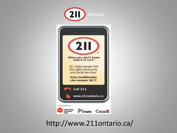

## http://www.211ontario.ca/